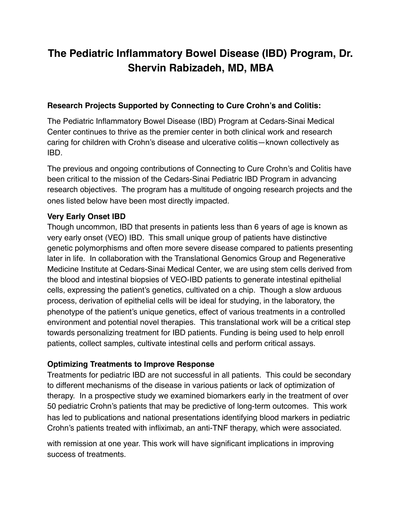# **The Pediatric Inflammatory Bowel Disease (IBD) Program, Dr. Shervin Rabizadeh, MD, MBA**

### **Research Projects Supported by Connecting to Cure Crohn's and Colitis:**

The Pediatric Inflammatory Bowel Disease (IBD) Program at Cedars-Sinai Medical Center continues to thrive as the premier center in both clinical work and research caring for children with Crohn's disease and ulcerative colitis—known collectively as IBD.

The previous and ongoing contributions of Connecting to Cure Crohn's and Colitis have been critical to the mission of the Cedars-Sinai Pediatric IBD Program in advancing research objectives. The program has a multitude of ongoing research projects and the ones listed below have been most directly impacted.

### **Very Early Onset IBD**

Though uncommon, IBD that presents in patients less than 6 years of age is known as very early onset (VEO) IBD. This small unique group of patients have distinctive genetic polymorphisms and often more severe disease compared to patients presenting later in life. In collaboration with the Translational Genomics Group and Regenerative Medicine Institute at Cedars-Sinai Medical Center, we are using stem cells derived from the blood and intestinal biopsies of VEO-IBD patients to generate intestinal epithelial cells, expressing the patient's genetics, cultivated on a chip. Though a slow arduous process, derivation of epithelial cells will be ideal for studying, in the laboratory, the phenotype of the patient's unique genetics, effect of various treatments in a controlled environment and potential novel therapies. This translational work will be a critical step towards personalizing treatment for IBD patients. Funding is being used to help enroll patients, collect samples, cultivate intestinal cells and perform critical assays.

### **Optimizing Treatments to Improve Response**

Treatments for pediatric IBD are not successful in all patients. This could be secondary to different mechanisms of the disease in various patients or lack of optimization of therapy. In a prospective study we examined biomarkers early in the treatment of over 50 pediatric Crohn's patients that may be predictive of long-term outcomes. This work has led to publications and national presentations identifying blood markers in pediatric Crohn's patients treated with infliximab, an anti-TNF therapy, which were associated.

with remission at one year. This work will have significant implications in improving success of treatments.